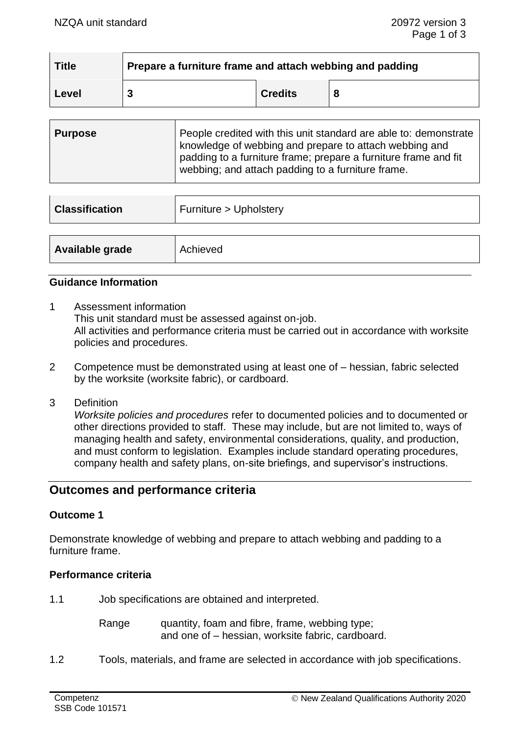| <b>Title</b> | Prepare a furniture frame and attach webbing and padding |                |   |
|--------------|----------------------------------------------------------|----------------|---|
| <b>Level</b> | 3                                                        | <b>Credits</b> | 8 |

| <b>Purpose</b> | People credited with this unit standard are able to: demonstrate<br>knowledge of webbing and prepare to attach webbing and<br>padding to a furniture frame; prepare a furniture frame and fit |
|----------------|-----------------------------------------------------------------------------------------------------------------------------------------------------------------------------------------------|
|                | webbing; and attach padding to a furniture frame.                                                                                                                                             |

| <b>Classification</b> | Furniture > Upholstery |  |
|-----------------------|------------------------|--|
|                       |                        |  |
| Available grade       | Achieved               |  |

## **Guidance Information**

- 1 Assessment information This unit standard must be assessed against on-job. All activities and performance criteria must be carried out in accordance with worksite policies and procedures.
- 2 Competence must be demonstrated using at least one of hessian, fabric selected by the worksite (worksite fabric), or cardboard.
- 3 Definition

*Worksite policies and procedures* refer to documented policies and to documented or other directions provided to staff. These may include, but are not limited to, ways of managing health and safety, environmental considerations, quality, and production, and must conform to legislation. Examples include standard operating procedures, company health and safety plans, on-site briefings, and supervisor's instructions.

# **Outcomes and performance criteria**

#### **Outcome 1**

Demonstrate knowledge of webbing and prepare to attach webbing and padding to a furniture frame.

#### **Performance criteria**

1.1 Job specifications are obtained and interpreted.

Range quantity, foam and fibre, frame, webbing type; and one of – hessian, worksite fabric, cardboard.

1.2 Tools, materials, and frame are selected in accordance with job specifications.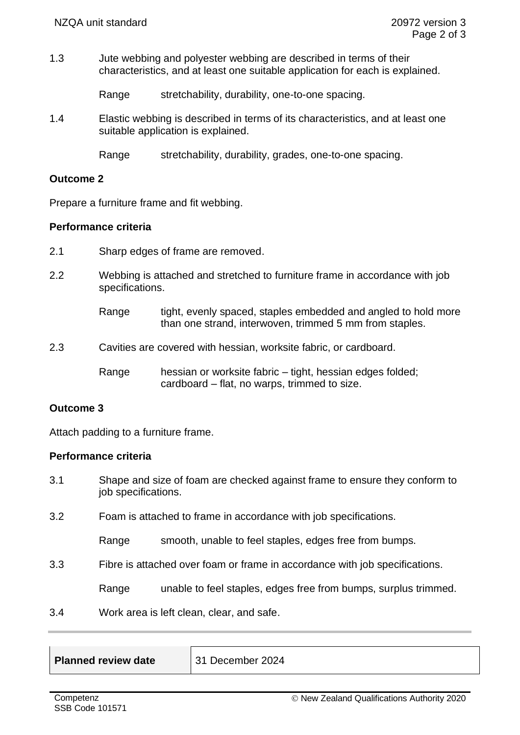1.3 Jute webbing and polyester webbing are described in terms of their characteristics, and at least one suitable application for each is explained.

Range stretchability, durability, one-to-one spacing.

1.4 Elastic webbing is described in terms of its characteristics, and at least one suitable application is explained.

Range stretchability, durability, grades, one-to-one spacing.

### **Outcome 2**

Prepare a furniture frame and fit webbing.

## **Performance criteria**

- 2.1 Sharp edges of frame are removed.
- 2.2 Webbing is attached and stretched to furniture frame in accordance with job specifications.
	- Range tight, evenly spaced, staples embedded and angled to hold more than one strand, interwoven, trimmed 5 mm from staples.
- 2.3 Cavities are covered with hessian, worksite fabric, or cardboard.

Range hessian or worksite fabric – tight, hessian edges folded; cardboard – flat, no warps, trimmed to size.

### **Outcome 3**

Attach padding to a furniture frame.

#### **Performance criteria**

- 3.1 Shape and size of foam are checked against frame to ensure they conform to job specifications.
- 3.2 Foam is attached to frame in accordance with job specifications.

Range smooth, unable to feel staples, edges free from bumps.

3.3 Fibre is attached over foam or frame in accordance with job specifications.

Range unable to feel staples, edges free from bumps, surplus trimmed.

3.4 Work area is left clean, clear, and safe.

| Planned review date | 31 December 2024 |
|---------------------|------------------|
|                     |                  |